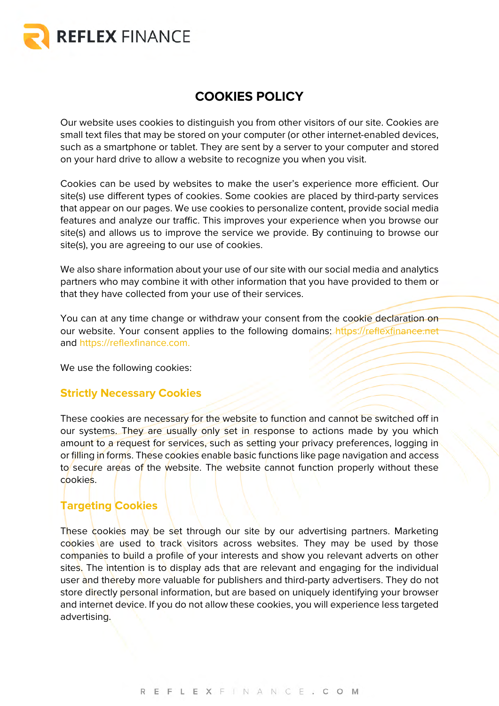

# **COOKIES POLICY**

Our website uses cookies to distinguish you from other visitors of our site. Cookies are small text files that may be stored on your computer (or other internet-enabled devices, such as a smartphone or tablet. They are sent by a server to your computer and stored on your hard drive to allow a website to recognize you when you visit.

Cookies can be used by websites to make the user's experience more efficient. Our site(s) use different types of cookies. Some cookies are placed by third-party services that appear on our pages. We use cookies to personalize content, provide social media features and analyze our traffic. This improves your experience when you browse our site(s) and allows us to improve the service we provide. By continuing to browse our site(s), you are agreeing to our use of cookies.

We also share information about your use of our site with our social media and analytics partners who may combine it with other information that you have provided to them or that they have collected from your use of their services.

You can at any time change or withdraw your consent from the cookie declaration on our website. Your consent applies to the following domains: https://reflexfinance.net and https://reflexfinance.com.

We use the following cookies:

## **Strictly Necessary Cookies**

These cookies are necessary for the website to function and cannot be switched off in our systems. They are usually only set in response to actions made by you which amount to a request for services, such as setting your privacy preferences, logging in or filling in forms. These cookies enable basic functions like page navigation and access to secure areas of the website. The website cannot function properly without these cookies.

## **Targeting Cookies**

These cookies may be set through our site by our advertising partners. Marketing cookies are used to track visitors across websites. They may be used by those companies to build a profile of your interests and show you relevant adverts on other sites. The intention is to display ads that are relevant and engaging for the individual user and thereby more valuable for publishers and third-party advertisers. They do not store directly personal information, but are based on uniquely identifying your browser and internet device. If you do not allow these cookies, you will experience less targeted advertising.